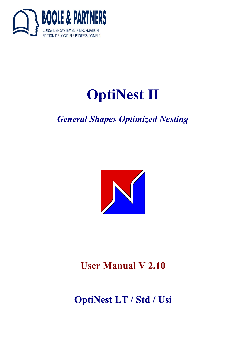

# **OptiNest II**

# *General Shapes Optimized Nesting*



**User Manual V 2.10**

**OptiNest LT / Std / Usi**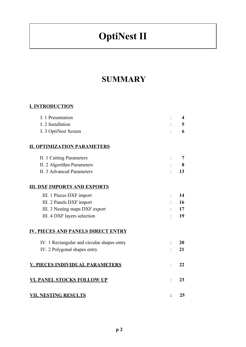# **OptiNest II**

# **SUMMARY**

## **[I. INTRODUCTION](#page-3-1)**

| I. 1 Presentation                           | $\overline{\mathbf{4}}$ |
|---------------------------------------------|-------------------------|
| I. 2 Installation                           | 5                       |
| I. 3 OptiNest Screen                        | 6                       |
| <u>II. OPTIMIZATION PARAMETERS</u>          |                         |
| II. 1 Cutting Parameters                    | 7                       |
| II. 2 Algorithm Parameters                  | 8                       |
| <b>II. 3 Advanced Parameters</b>            | 13                      |
| <b>III. DXF IMPORTS AND EXPORTS</b>         |                         |
| III. 1 Pieces DXF import                    | 14                      |
| III. 2 Panels DXF import                    | 16                      |
| III. 3 Nesting maps DXF export              | 17                      |
| III. 4 DXF layers selection                 | 19                      |
| <b>IV. PIECES AND PANELS DIRECT ENTRY</b>   |                         |
| IV. 1 Rectangular and circular shapes entry | 20                      |
| IV. 2 Polygonal shapes entry                | 21                      |
| V. PIECES INDIVIDUAL PARAMETERS             | 22                      |
| <b>VI. PANEL STOCKS FOLLOW UP</b>           | 23                      |
| <b>VII. NESTING RESULTS</b>                 | 25                      |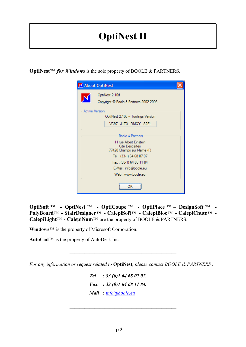# **OptiNest II**

**OptiNestTM** *for Windows* is the sole property of BOOLE & PARTNERS.

| M About OptiNest                                                                                                                                                                              |  |  |  |  |  |  |
|-----------------------------------------------------------------------------------------------------------------------------------------------------------------------------------------------|--|--|--|--|--|--|
| OptiNest 2.10d<br>Copyright © Boole & Partners 2002-2006                                                                                                                                      |  |  |  |  |  |  |
| <b>Active Version</b><br>OptiNest 2.10d -- Toolings Version<br>VC97 - J1T3 - DMQY - S2EL                                                                                                      |  |  |  |  |  |  |
| Boole & Partners<br>11 rue Albert Einstein<br>Cité Descartes<br>77420 Champs sur Mame (F)<br>Tel: (33-1) 64 68 07 07<br>Fax: (33-1) 64 68 11 84<br>E-Mail: info@boole.eu<br>Web: www.boole.eu |  |  |  |  |  |  |
|                                                                                                                                                                                               |  |  |  |  |  |  |

**OptiSoft TM - OptiNest TM - OptiCoupe TM - OptiPlace TM – DesignSoft TM - PolyBoardTM - StairDesigner TM - CalepiSoft TM - CalepiBloc TM - CalepiChute TM - CalepiLightTM - CalepiNumTM** are the property of BOOLE & PARTNERS.

**Windows**TM is the property of Microsoft Corporation.

**AutoCad**TM is the property of AutoDesk Inc.

*For any information or request related to* **OptiNest***, please contact BOOLE & PARTNERS :*

 $\mathcal{L}_\text{max}$  and the contract of the contract of the contract of the contract of the contract of the contract of the contract of the contract of the contract of the contract of the contract of the contract of the contrac

 *Tel : 33 (0)1 64 68 07 07. Fax : 33 (0)1 64 68 11 84. Mail : [info@boole.eu](mailto:info@boole.eu)*

 $\mathcal{L}_\text{max}$  , and the contract of the contract of the contract of the contract of the contract of the contract of the contract of the contract of the contract of the contract of the contract of the contract of the contr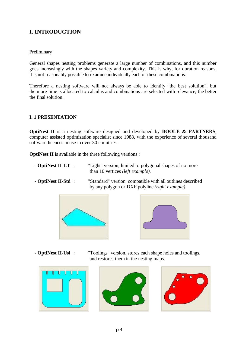# <span id="page-3-1"></span>**I. INTRODUCTION**

#### **Preliminary**

General shapes nesting problems generate a large number of combinations, and this number goes increasingly with the shapes variety and complexity. This is why, for duration reasons, it is not reasonably possible to examine individually each of these combinations.

Therefore a nesting software will not always be able to identify "the best solution", but the more time is allocated to calculus and combinations are selected with relevance, the better the final solution.

#### <span id="page-3-0"></span>**I. 1 PRESENTATION**

**OptiNest II** is a nesting software designed and developed by **BOOLE & PARTNERS**, computer assisted optimization specialist since 1988, with the experience of several thousand software licences in use in over 30 countries.

**OptiNest II** is available in the three following versions :

- **OptiNest II-LT** : "Light" version, limited to polygonal shapes of no more than 10 vertices *(left example).*
- **OptiNest II-Std** : "Standard" version, compatible with all outlines described by any polygon or DXF polyline *(right example).*





 - **OptiNest II-Usi** : "Toolings" version, stores each shape holes and toolings, and restores them in the nesting maps.





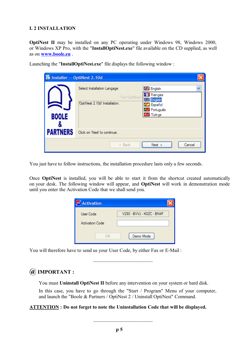#### <span id="page-4-0"></span>**I. 2 INSTALLATION**

**OptiNest II** may be installed on any PC operating under Windows 98, Windows 2000, or Windows XP Pro, with the "**InstallOptiNest.exe**" file available on the CD supplied, as well as on **[www.boole.eu](http://www.boole.eu/)** .

|                 | Installer -- OptiNest 2.10d                                                                                                                                                           |  |
|-----------------|---------------------------------------------------------------------------------------------------------------------------------------------------------------------------------------|--|
| <b>BOOLE</b>    | 景 English<br>Select Installation Langage<br>v<br><b>T</b> Français<br>The 'OptiNest 2<br><b>English</b><br>OptiNest 2.10d' Installation.<br>Español<br><b>A</b> Português<br>C Türkçe |  |
| <b>PARTNERS</b> | Click on 'Next' to continue.                                                                                                                                                          |  |
|                 | Next ><br>$<$ Back<br>Cancel                                                                                                                                                          |  |

Launching the "**InstallOptiNest.exe**" file displays the following window :

You just have to follow instructions, the installation procedure lasts only a few seconds.

Once **OptiNest** is installed, you will be able to start it from the shortcut created automatically on your desk. The following window will appear, and **OptiNest** will work in demonstration mode until you enter the Activation Code that we shall send you.

| <b>Activation</b>      |                           |  |
|------------------------|---------------------------|--|
| User Code              | V280 - BVVJ - K0ZC - BN4F |  |
| <b>Activation Code</b> |                           |  |
| OΚ                     | Demo Mode                 |  |

You will therefore have to send us your User Code, by either Fax or E-Mail :

# **@ IMPORTANT :**

You must **Uninstall OptiNest II** before any intervention on your system or hard disk.

 $\mathcal{L}_\text{max}$  , where  $\mathcal{L}_\text{max}$  , we have the set of  $\mathcal{L}_\text{max}$ 

In this case, you have to go through the "Start / Program" Menu of your computer, and launch the "Boole & Partners / OptiNest 2 / Uninstall OptiNest" Command.

#### **ATTENTION : Do not forget to note the Uninstallation Code that will be displayed.**

 $\mathcal{L}_\text{max}$  , where  $\mathcal{L}_\text{max}$  , we have the set of  $\mathcal{L}_\text{max}$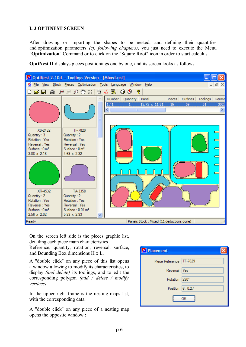#### <span id="page-5-0"></span>**I. 3 OPTINEST SCREEN**

After drawing or importing the shapes to be nested, and defining their quantities and optimization parameters *(cf. following chapters)*, you just need to execute the Menu "**Optimization**" Command or to click on the "Square Root" icon in order to start calculus.



**OptiNest II** displays pieces positionings one by one, and its screen looks as follows:

On the screen left side is the pieces graphic list, detailing each piece main characteristics :

Reference, quantity, rotation, reversal, surface, and Bounding Box dimensions H x L.

A "double click" on any piece of this list opens a window allowing to modify its characteristics, to display *(and delete)* its toolings, and to edit the corresponding polygon *(add / delete / modify vertices)*.

In the upper right frame is the nesting maps list, with the corresponding data.

A "double click" on any piece of a nesting map opens the opposite window :

| N Placement               |  |
|---------------------------|--|
| Piece Reference   TF-7829 |  |
| Reversal Yes              |  |
| Rotation 230°             |  |
| Position 6, 0.27          |  |
|                           |  |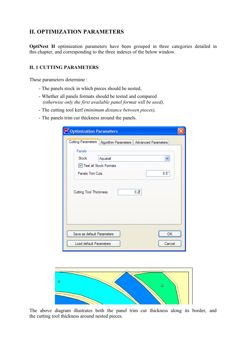## <span id="page-6-1"></span>**II. OPTIMIZATION PARAMETERS**

**OptiNest II** optimization parameters have been grouped in three categories detailed in this chapter, and corresponding to the three indexes of the below window.

#### <span id="page-6-0"></span>**II. 1 CUTTING PARAMETERS**

These parameters determine :

- The panels stock in which pieces should be nested,
- Whether all panels formats should be tested and compared *(otherwise only the first available panel format will be used),*
- The cutting tool kerf *(minimum distance between pieces),*
- The panels trim cut thickness around the panels.

| <b>N</b> Optimization Parameters                                        |  |
|-------------------------------------------------------------------------|--|
| <b>Cutting Parameters</b><br>Algorithm Parameters   Advanced Parameters |  |
| Panels                                                                  |  |
| <b>Stock</b><br>Aquatall                                                |  |
| □ Test all Stock Formats                                                |  |
| 0.5"<br>Panels Trim Cuts                                                |  |
|                                                                         |  |
| 0.2"<br>Cutting Tool Thickness                                          |  |
| OK<br>Save as default Parameters                                        |  |
| Load default Parameters<br>Cancel                                       |  |



The above diagram illustrates both the panel trim cut thickness along its border, and the cutting tool thickness around nested pieces.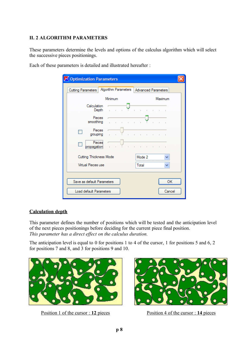#### <span id="page-7-0"></span>**II. 2 ALGORITHM PARAMETERS**

These parameters determine the levels and options of the calculus algorithm which will select the successive pieces positionings.

| Cutting Parameters   | Algorithm Parameters |  |  | <b>Advanced Parameters</b> |         |  |
|----------------------|----------------------|--|--|----------------------------|---------|--|
|                      | Minimum              |  |  |                            | Maximum |  |
| Calculation<br>Depth |                      |  |  |                            |         |  |
| Pieces<br>smoothing  |                      |  |  |                            |         |  |
| Pieces<br>grouping   |                      |  |  |                            |         |  |

Each of these parameters is detailed and illustrated hereafter :

| Calculation                   | Depth in the contract of the contract of the contract of |                                 |                          |
|-------------------------------|----------------------------------------------------------|---------------------------------|--------------------------|
| Pieces<br>smoothing           |                                                          | the contract of the contract of | The Common               |
| Pieces<br>grouping            | $\mathbb{I}$                                             | .                               |                          |
| Pieces<br>propagation         | <b>Contract Contract</b>                                 | The Committee of the            | the contract of the con- |
| <b>Cutting Thickness Mode</b> |                                                          | Mode 2                          |                          |
| Virtual Pieces use            |                                                          | Total                           |                          |
|                               |                                                          |                                 |                          |
| Save as default Parameters    |                                                          |                                 | OK                       |
| Load default Parameters       |                                                          |                                 | Cancel                   |

#### **Calculation depth**

This parameter defines the number of positions which will be tested and the anticipation level of the next pieces positionings before deciding for the current piece final position. *This parameter has a direct effect on the calculus duration.*

The anticipation level is equal to 0 for positions 1 to 4 of the cursor, 1 for positions 5 and 6, 2 for positions 7 and 8, and 3 for positions 9 and 10.



Position 1 of the cursor : **12** pieces Position 4 of the cursor : **14** pieces

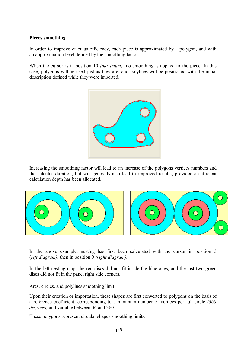#### **Pieces smoothing**

In order to improve calculus efficiency, each piece is approximated by a polygon, and with an approximation level defined by the smoothing factor.

When the cursor is in position 10 *(maximum),* no smoothing is applied to the piece. In this case, polygons will be used just as they are, and polylines will be positioned with the initial description defined while they were imported.



Increasing the smoothing factor will lead to an increase of the polygons vertices numbers and the calculus duration, but will generally also lead to improved results, provided a sufficient calculation depth has been allocated.



In the above example, nesting has first been calculated with the cursor in position 3 (*left diagram),* then in position 9 *(right diagram).*

In the left nesting map, the red discs did not fit inside the blue ones, and the last two green discs did not fit in the panel right side corners.

#### Arcs, circles, and polylines smoothing limit

Upon their creation or importation, these shapes are first converted to polygons on the basis of a reference coefficient, corresponding to a minimum number of vertices per full circle *(360 degrees),* and variable between 36 and 360.

These polygons represent circular shapes smoothing limits.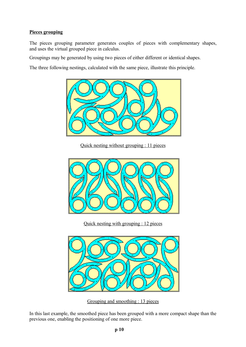#### **Pieces grouping**

The pieces grouping parameter generates couples of pieces with complementary shapes, and uses the virtual grouped piece in calculus.

Groupings may be generated by using two pieces of either different or identical shapes.

The three following nestings, calculated with the same piece, illustrate this principle.



Quick nesting without grouping : 11 pieces



Quick nesting with grouping : 12 pieces



Grouping and smoothing : 13 pieces

In this last example, the smoothed piece has been grouped with a more compact shape than the previous one, enabling the positioning of one more piece.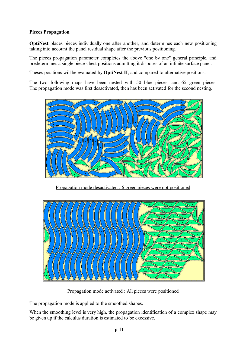#### **Pieces Propagation**

**OptiNest** places pieces individually one after another, and determines each new positioning taking into account the panel residual shape after the previous positioning.

The pieces propagation parameter completes the above "one by one" general principle, and predetermines a single piece's best positions admitting it disposes of an infinite surface panel.

Theses positions will be evaluated by **OptiNest II**, and compared to alternative positions.

The two following maps have been nested with 50 blue pieces, and 65 green pieces. The propagation mode was first desactivated, then has been activated for the second nesting.



Propagation mode desactivated : 6 green pieces were not positioned



Propagation mode activated : All pieces were positioned

The propagation mode is applied to the smoothed shapes.

When the smoothing level is very high, the propagation identification of a complex shape may be given up if the calculus duration is estimated to be excessive.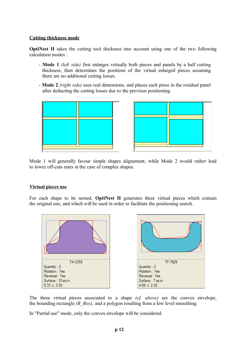#### **Cutting thickness mode**

**OptiNest II** takes the cutting tool thickness into account using one of the two following calculation modes :

- **Mode 1** *(left side)* first enlarges virtually both pieces and panels by a half cutting thickness, then determines the positions of the virtual enlarged pieces assuming there are no additional cutting losses.
- **Mode 2** *(right side)* uses real dimensions, and places each piece in the residual panel after deducting the cutting losses due to the previous positioning.





Mode 1 will generally favour simple shapes alignement, while Mode 2 would rather lead to lower off-cuts rates in the case of complex shapes.

#### **Virtual pieces use**

For each shape to be nested, **OptiNest II** generates three virtual pieces which contain the original one, and which will be used in order to facilitate the positioning search.



The three virtual pieces associated to a shape *(cf. above)* are the convex envelope, the bounding rectangle *(B\_Box),* and a polygon resulting from a low level smoothing.

In "Partial use" mode, only the convex envelope will be considered.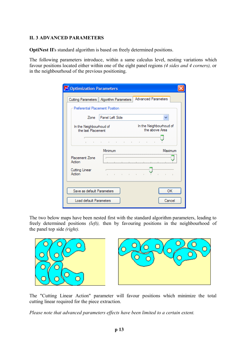#### <span id="page-12-0"></span>**II. 3 ADVANCED PARAMETERS**

**OptiNest II's standard algorithm is based on freely determined positions.** 

The following parameters introduce, within a same calculus level, nesting variations which favour positions located either within one of the eight panel regions *(4 sides and 4 corners),* or in the neighbourhoud of the previous positioning.

| <b>N</b> Optimization Parameters              |                                                                |                                           |
|-----------------------------------------------|----------------------------------------------------------------|-------------------------------------------|
|                                               | Cutting Parameters   Algorithm Parameters                      | <b>Advanced Parameters</b>                |
| Preferential Placement Position               |                                                                |                                           |
| Zone                                          | Panel Left Side                                                |                                           |
| In the Neighbourhoud of<br>the last Placement |                                                                | In the Neighbourhoud of<br>the above Area |
|                                               | the contract of the contract of<br>and the control of the con- |                                           |
|                                               | Minimum                                                        | Maximum                                   |
| Placement Zone<br>Action                      |                                                                |                                           |
| Cutting Linear<br>Action                      | the contract of the con-                                       | $\sim$                                    |
|                                               |                                                                |                                           |
| Save as default Parameters                    |                                                                | ОК                                        |
| Load default Parameters                       |                                                                | Cancel                                    |

The two below maps have been nested first with the standard algorithm parameters, leading to freely determined positions *(left),* then by favouring positions in the neighbourhood of the panel top side *(right).*



The "Cutting Linear Action" parameter will favour positions which minimize the total cutting linear required for the piece extraction.

*Please note that advanced parameters effects have been limited to a certain extent.*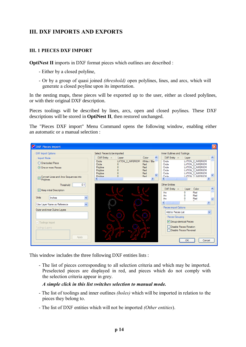### <span id="page-13-1"></span>**III. DXF IMPORTS AND EXPORTS**

#### <span id="page-13-0"></span>**III. 1 PIECES DXF IMPORT**

**OptiNest II** imports in DXF format pieces which outlines are described :

- Either by a closed polyline,
- Or by a group of quasi joined *(threshold)* open polylines, lines, and arcs, which will generate a closed poyline upon its importation.

In the nesting maps, these pieces will be exported up to the user, either as closed polylines, or with their original DXF description.

Pieces toolings will be described by lines, arcs, open and closed poylines. These DXF descriptions will be stored in **OptiNest II**, then restored unchanged.

The "Pieces DXF import" Menu Command opens the following window, enabling either an automatic or a manual selection :



This window includes the three following DXF entities lists :

- The list of pieces corresponding to all selection criteria and which may be imported. Preselected pieces are displayed in red, and pieces which do not comply with the selection criteria appear in grey.

#### *A simple click in this list switches selection to manual mode.*

- The list of toolings and inner outlines *(holes)* which will be imported in relation to the pieces they belong to.
- The list of DXF entities which will not be imported *(Other entities*).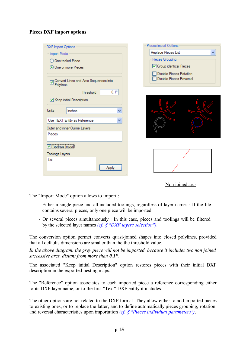#### **Pieces DXF import options**

| Import Mode                                                                   | Replace Pieces List                                |
|-------------------------------------------------------------------------------|----------------------------------------------------|
| One tooled Piece                                                              | Pieces Grouping                                    |
| ⊙ One or more Pieces                                                          | Group identical Pieces                             |
| Convert Lines and Arcs Sequences into<br>$\overline{\mathbf{v}}$<br>Polylines | Disable Pieces Rotation<br>Disable Pieces Reversal |
| 0.1"<br>Threshold                                                             |                                                    |
| Keep initial Description                                                      |                                                    |
| <b>Units</b><br>Inches                                                        |                                                    |
| Use TEXT Entity as Reference<br>v                                             |                                                    |
| Outer and inner Ouline Layers                                                 |                                                    |
| Pieces                                                                        |                                                    |
| V Toolings Import                                                             |                                                    |
| <b>Toolings Layers</b>                                                        |                                                    |
| Usi<br>Apply                                                                  |                                                    |

Non joined arcs

The "Import Mode" option allows to import :

- Either a single piece and all included toolings, regardless of layer names : If the file contains several pieces, only one piece will be imported.
- Or several pieces simultaneously : In this case, pieces and toolings will be filtered by the selected layer names *[\(cf. § "DXF layers selection"\).](#page-18-0)*

The conversion option permet converts quasi-joined shapes into closed polylines, provided that all defaults dimensions are smaller than the the threshold value.

*In the above diagram, the grey piece will not be imported, because it includes two non joined successive arcs, distant from more than 0.1".*

The associated "Keep initial Description" option restores pieces with their initial DXF description in the exported nesting maps.

The "Reference" option associates to each imported piece a reference corresponding either to its DXF layer name, or to the first "Text" DXF entity it includes.

The other options are not related to the DXF format. They allow either to add imported pieces to existing ones, or to replace the latter, and to define automatically pieces grouping, rotation, and reversal characteristics upon importation *[\(cf. § "Pieces individual parameters"\)](#page-21-0)*.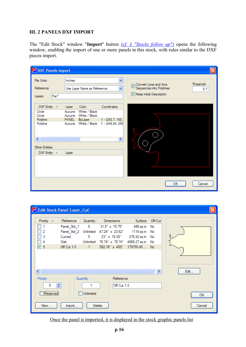#### <span id="page-15-0"></span>**III. 2 PANELS DXF IMPORT**

The "Edit Stock" window "**Import**" button *[\(cf. § "Stocks follow up"\)](#page-22-0)* opens the following window, enabling the import of one or more panels in this stock, with rules similar to the DXF pieces import.

| <b>N</b> DXF Panels Import                                                                                                                            |                                                                                                                                    |                                             |                                                                                |                   |
|-------------------------------------------------------------------------------------------------------------------------------------------------------|------------------------------------------------------------------------------------------------------------------------------------|---------------------------------------------|--------------------------------------------------------------------------------|-------------------|
| <b>File Units</b><br>Reference<br>Pan <sup>*</sup><br>Layers                                                                                          | Inches<br>Use Layer Name as Reference                                                                                              | Y<br>Y                                      | Convert Lines and Arcs<br>Sequences into Polylines<br>Keep initial Description | Threshold<br>0.1" |
| DXF Entity $\triangle$<br>Circle<br>Circle<br>Polyline<br>Polyline<br>≺∣<br>$\mathop{\mathrm{HH}}$<br><b>Other Entities</b><br>DXF Entity $\triangle$ | Color<br>Layer<br>Aucune White / Black<br>Aucune White / Black<br>PANEL ByLayer<br>Aucune White / Black 1 - (449.44, 256)<br>Layer | Coordinates<br>$1 - (243.7, 148.3)$<br>$\,$ |                                                                                |                   |
|                                                                                                                                                       |                                                                                                                                    |                                             | OK                                                                             | Cancel            |

| M Edit Stock Panel 'Laser_Cut' |                                                                       |                          |                                                                                                                                 |                                         |                |        |
|--------------------------------|-----------------------------------------------------------------------|--------------------------|---------------------------------------------------------------------------------------------------------------------------------|-----------------------------------------|----------------|--------|
| Priority $\triangle$           | Reference                                                             | Quantity                 | <b>Dimensions</b>                                                                                                               | Surface                                 | Off-Cut        |        |
| $\sqrt{5}$                     | Panel_Std_1<br>Panel_Std_2 Unlimited<br>Curved<br>Disk<br>Off Cut 1-3 | 6<br>5<br>$\overline{1}$ | 31.5" x 15.75"<br>47.24" x 23.62"<br>23" x 19.38"<br>Unlimited 78.74" x 78.74" 4866.27 sq in No<br>582.16" x 400" 179755.45  No | 496 sq in<br>1116 sq in<br>276.42 sq in | No<br>No<br>No |        |
| ∢                              |                                                                       | $\mathbf{m}$             |                                                                                                                                 |                                         | $\rightarrow$  | Edit   |
| Priority<br>5<br>÷             |                                                                       | Quantity                 | Reference<br>Off Cut 1-3                                                                                                        |                                         |                |        |
| <br>Reserved                   |                                                                       | Unlimited                |                                                                                                                                 |                                         |                | ОК     |
| New                            | Import                                                                |                          | <b>Delete</b>                                                                                                                   |                                         |                | Cancel |

Once the panel is imported, it is displayed in the stock graphic panels list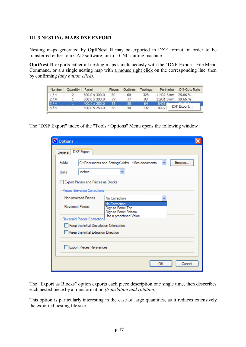#### <span id="page-16-0"></span>**III. 3 NESTING MAPS DXF EXPORT**

Nesting maps generated by **OptiNest II** may be exported in DXF format, in order to be transferred either to a CAD software, or to a CNC cutting machine.

**OptiNest II** exports either all nesting maps simultaneously with the "DXF Export" File Menu Command, or a a single nesting map with a mouse right click on the corresponding line, then by confirming *(any button click).*

| Number | Quantity | Panel                | Pieces | Outlines | Toolings | Perimeter  | Off-Cuts Rate   |
|--------|----------|----------------------|--------|----------|----------|------------|-----------------|
|        |          | $500.0 \times 300.0$ | 60     | 60       | 328      | 11402.6 mm | 25.06%          |
|        |          | $500.0 \times 300.0$ |        |          | 88       | 11931.3 mm | 30.66%          |
|        |          | 400.0 x 250.0        | 55     | 55       | 64       | 8408.      | <b>BB CB BL</b> |
|        |          | 400.0 x 250.0        | 48     | 48       | 192      | 8007       | DXF Export      |

The "DXF Export" index of the "Tools / Options" Menu opens the following window :

| N Options                                |                                                              |              |
|------------------------------------------|--------------------------------------------------------------|--------------|
| <b>DXF</b> Export<br>General             |                                                              |              |
| Folder                                   | C:\Documents and Settings\Admi\Mes documents                 | Browse       |
| Inches<br>Units                          |                                                              |              |
| Export Panels and Pieces as Blocks       |                                                              |              |
| Pieces Elevation Corrections             |                                                              |              |
| Non reversed Pieces                      | No Correction                                                |              |
| <b>Reversed Pieces</b>                   | No Correction<br>Align to Panel Top<br>Align to Panel Bottom |              |
| <b>Reversed Pieces Corrections</b>       | Use a predefined Value                                       |              |
| Keep the initial Description Orientation |                                                              |              |
| Keep the initial Extrusion Direction     |                                                              |              |
| <b>Export Pieces References</b>          |                                                              |              |
|                                          |                                                              | OK<br>Cancel |

The "Export as Blocks" option exports each piece description one single time, then desccribes each nested piece by a transformation *(translation and rotation).*

This option is particularly interesting in the case of large quantities, as it reduces extensively the exported nesting file size.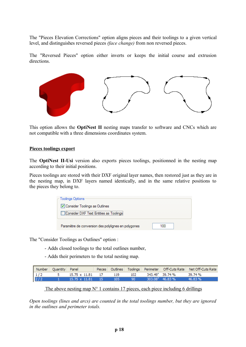The "Pieces Elevation Corrections" option aligns pieces and their toolings to a given vertical level, and distinguishes reversed pieces *(face change)* from non reversed pieces.

The "Reversed Pieces" option either inverts or keeps the initial course and extrusion directions.



This option allows the **OptiNest II** nesting maps transfer to software and CNCs which are not compatible with a three dimensions coordinates system.

#### **Pieces toolings export**

The **OptiNest II-Usi** version also exports pieces toolings, positionned in the nesting map according to their initial positions.

Pieces toolings are stored with their DXF original layer names, then restored just as they are in the nesting map, in DXF layers named identically, and in the same relative positions to the pieces they belong to.

| ∼ Toolings Options:                                 |     |
|-----------------------------------------------------|-----|
| √ Consider Toolings as Outlines                     |     |
| Consider DXF Text Entities as Toolings              |     |
| Paramètre de conversion des polylignes en polygones | 100 |

The "Consider Toolings as Outlines" option :

- Adds closed toolings to the total outlines number,
- Adds their perimeters to the total nesting map.

| Number Quantity Panel                                      |                                 |         |       |                   |                 | Pieces   Outlines   Toolings   Perimeter   Off-Cuts Rate   Net Off-Cuts Rate |
|------------------------------------------------------------|---------------------------------|---------|-------|-------------------|-----------------|------------------------------------------------------------------------------|
| $\begin{array}{ c c }\n 1/2 \\ \hline\n 2/2\n \end{array}$ | 15.75 x 11.81 17                | - 119 - | - 102 |                   | 343.49" 39.74 % | 39.74 %                                                                      |
|                                                            | $1 \t 15.75 \times 11.81 \t 15$ | - 105   | -90.  | $303.08"$ 46.83 % |                 | $46.83\%$                                                                    |

#### The above nesting map  $N^{\circ}$  1 contains 17 pieces, each piece including 6 drillings

*Open toolings (lines and arcs) are counted in the total toolings number, but they are ignored in the outlines and perimeter totals.*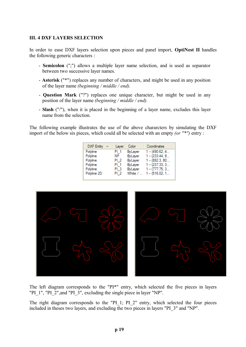#### <span id="page-18-0"></span>**III. 4 DXF LAYERS SELECTION**

In order to ease DXF layers selection upon pieces and panel import, **OptiNest II** handles the following generic characters :

- **Semicolon** (";") allows a multiple layer name selection, and is used as separator between two successive layer names.
- **Asterisk** ("\*") replaces any number of characters, and might be used in any position of the layer name *(beginning / middle / end).*
- **Question Mark** ("?") replaces one unique character, but might be used in any position of the layer name *(beginning / middle / end).*
- **Slash** ("/"), when it is placed in the beginning of a layer name, excludes this layer name from the selection.

The following example illustrates the use of the above chararcters by simulating the DXF import of the below six pieces, which could all be selected with an empty *(or "\*")* entry :

| <b>DXF Entity</b>                                                       | Color<br>Layer                                                                                                                                         | Coordinates                                                                                                          |
|-------------------------------------------------------------------------|--------------------------------------------------------------------------------------------------------------------------------------------------------|----------------------------------------------------------------------------------------------------------------------|
| Polyline<br>Polyline<br>Polyline<br>Polyline<br>Polyline<br>Polyline 2D | <b>ByLaver</b><br>PI 1<br><b>ByLayer</b><br>NP.<br><b>ByLaver</b><br>PI 2<br>ByLayer<br>PI 1<br><b>ByLayer</b><br>PI 3<br>White $/$<br>PI <sub>2</sub> | $1 - (490.62, 4$<br>$1 - (233.44, 9$<br>$1 - (882.3, 80$<br>$1 - (237.33, 3$<br>$1 - (777.75, 3$<br>$1 - (516.02, 1$ |



The left diagram corresponds to the "PI\*" entry, which selected the five pieces in layers "PI\_1", "PI\_2",and "PI\_3", excluding the single piece in layer "NP".

The right diagram corresponds to the "PI\_1; PI\_2" entry, which selected the four pieces included in theses two layers, and excluding the two pieces in layers "PI\_3" and "NP".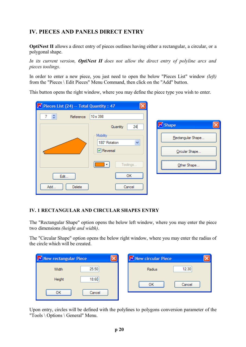# <span id="page-19-1"></span>**IV. PIECES AND PANELS DIRECT ENTRY**

**OptiNest II** allows a direct entry of pieces outlines having either a rectangular, a circular, or a polygonal shape.

*In its current version, OptiNest II does not allow the direct entry of polyline arcs and pieces toolings.*

In order to enter a new piece, you just need to open the below "Pieces List" window *(left)* from the "Pieces \ Edit Pieces" Menu Command, then click on the "Add" button.

This button opens the right window, where you may define the piece type you wish to enter.

| N Pieces List (24) -- Total Quantity : 47 |                                           |                   |
|-------------------------------------------|-------------------------------------------|-------------------|
| 7<br>≎<br>Reference                       | 10 s 398                                  |                   |
|                                           | 24<br>Quantity                            | <b>N</b> Shape    |
|                                           | Mobility<br>$\checkmark$<br>180° Rotation | Rectangular Shape |
|                                           | <b>▽</b> Reversal                         | Circular Shape    |
|                                           | Toolings                                  | Other Shape       |
| Edit                                      | OK                                        |                   |
| Add<br>Delete                             | Cancel                                    |                   |

#### <span id="page-19-0"></span>**IV. 1 RECTANGULAR AND CIRCULAR SHAPES ENTRY**

The "Rectangular Shape" option opens the below left window, where you may enter the piece two dimensions *(height and width)*.

The "Circular Shape" option opens the below right window, where you may enter the radius of the circle which will be created.

| N New rectangular Piece | N New circular Piece |
|-------------------------|----------------------|
| 25.50                   | 12.30                |
| Width                   | Radius               |
| 18.60                   | ок                   |
| Height                  | Cancel               |
| ок<br>Cancel            |                      |

Upon entry, circles will be defined with the polylines to polygons conversion parameter of the "Tools \ Options \ General" Menu.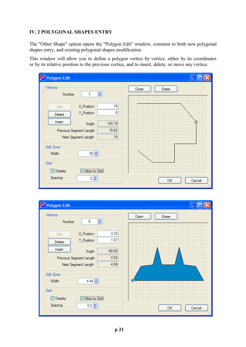#### <span id="page-20-0"></span>**IV. 2 POLYGONAL SHAPES ENTRY**

The "Other Shape" option opens the "Polygon Edit" window, common to both new polygonal shapes entry, and existing polygonal shapes modification.

This window will allow you to define a polygon vertice by vertice, either by its coordinates or by its relative position to the previous vertice, and to insert, delete, or move any vertice.

| N Polygon Edit                                                                                                                                     |                |
|----------------------------------------------------------------------------------------------------------------------------------------------------|----------------|
| Vertices<br>A<br>3<br>Number<br>$\mathbf{v}$                                                                                                       | Close<br>Erase |
| 18<br>X_Position<br>Add<br>8<br>Y_Position<br>Delete<br>Insert<br>140.19<br>Angle<br>15.62<br>Previous Segment Length<br>14<br>Next Segment Length |                |
| Edit Zone<br>$50 \div$<br>Width                                                                                                                    | $\sim$         |
| Grid<br>√ Align to Grid<br><b>□</b> Display<br>Spacing<br>2¦≎                                                                                      | Cancel<br>ОК   |

| N Polygon Edit                                                                                                                                                |               |
|---------------------------------------------------------------------------------------------------------------------------------------------------------------|---------------|
| Vertices<br>÷<br>6<br>Number                                                                                                                                  | Erase<br>Open |
| $-3.33$<br>X_Position<br>Add<br>1.67<br>Y_Position<br>Delete<br>Insert<br>$-60.00$<br>Angle<br>0.93<br>Previous Segment Length<br>4.04<br>Next Segment Length |               |
| Edit Zone<br>$4.44 \div$<br>Width                                                                                                                             |               |
| Grid<br><b>□</b> Display<br>Align to Grid<br>Spacing<br>$0.2 \div$                                                                                            | ОК<br>Cancel  |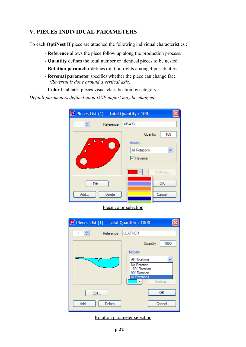# <span id="page-21-0"></span>**V. PIECES INDIVIDUAL PARAMETERS**

To each **OptiNest II** piece are attached the following individual characteristics :

- **Reference** allows the piece follow up along the production process.
- **Quantity** defines the total number or identical pieces to be nested.
- **Rotation parameter** defines rotation rights among 4 possibilities.
- **Reversal parameter** specifies whether the piece can change face  *(Reversal is done around a vertical axis).*
- **Color** facilitates pieces visual classification by category.

*Default parameters defined upon DXF import may be changed.*

| N Pieces List (1) -- Total Quantity: 100 |                                                                                           |
|------------------------------------------|-------------------------------------------------------------------------------------------|
| ÷<br>Reference                           | XP-433                                                                                    |
| $\bullet$<br>۰<br>٠                      | 100<br>Quantity<br>Mobility<br>v<br>All Rotations<br>$\triangledown$ Reversal<br>Toolings |
| Edit                                     | ОК                                                                                        |
| Add<br>Delete                            | Cancel                                                                                    |

Piece color selection

| M Pieces List (1) -- Total Quantity: 1000 |                                                                                                                                 |
|-------------------------------------------|---------------------------------------------------------------------------------------------------------------------------------|
| ÷<br>Reference                            | <b>LEATHER</b>                                                                                                                  |
|                                           | 1000<br>Quantity<br>Mobility<br>v<br>All Rotations<br>No Rotation<br>180° Rotation<br>90° Rotation<br>All Rotations<br>Toolings |
| Edit                                      | OK                                                                                                                              |
| Add<br>Delete                             | Cancel                                                                                                                          |

Rotation parameter selection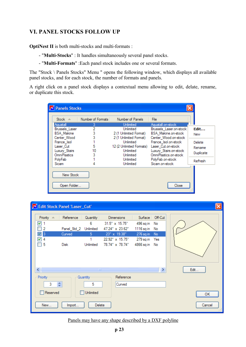# <span id="page-22-0"></span>**VI. PANEL STOCKS FOLLOW UP**

**OptiNest II** is both multi-stocks and multi-formats :

- "**Multi-Stocks**" : It handles simultaneously several panel stocks.
- "**Multi-Formats**" :Each panel stock includes one or several formats.

The "Stock \ Panels Stocks" Menu " opens the following window, which displays all available panel stocks, and for each stock, the number of formats and panels.

A right click on a panel stock displays a contextual menu allowing to edit, delate, rename, or duplicate this stock.

| Number of Formats | Number of Panels         | File:                                                   |                                                       |
|-------------------|--------------------------|---------------------------------------------------------|-------------------------------------------------------|
| 3                 |                          | Aquatall.on-stock                                       |                                                       |
|                   |                          |                                                         | Edit                                                  |
|                   |                          |                                                         | <b>New</b>                                            |
|                   | 2 (1 Unlimited Format)   | Center_Wood.on-stock                                    |                                                       |
|                   | Unlimited                | France Isol.on-stock                                    | <b>Delete</b>                                         |
| 5                 | 12 (2 Unlimited Formats) | Laser Cut.on-stock                                      | Rename                                                |
| 10                | Unlimited                | Luxury Stairs.on-stock                                  |                                                       |
|                   | Unlimited                | OmniPlastics.on-stock                                   | Duplicate                                             |
|                   | Unlimited                | PolyFab.on-stock                                        | Refresh                                               |
|                   | Unlimited                | Sicam.on-stock                                          |                                                       |
|                   |                          |                                                         |                                                       |
|                   |                          |                                                         |                                                       |
|                   | 2<br>3<br>3              | <b>Unlimited</b><br>Unlimited<br>2 (1 Unlimited Format) | Brussels Laser.on-stock<br><b>BSA</b> Makine.on-stock |

| M Edit Stock Panel 'Laser_Cut'                              |                                                      |                                                      |  |                                                                                           |                                                                                                              |                           |        |
|-------------------------------------------------------------|------------------------------------------------------|------------------------------------------------------|--|-------------------------------------------------------------------------------------------|--------------------------------------------------------------------------------------------------------------|---------------------------|--------|
| Priority $\triangle$<br>⊽⊟<br>3<br>M<br>☑<br>Δ<br>- 5<br>≮∥ | Reference<br>Panel_Std_2 Unlimited<br>Curved<br>Disk | Quantity<br>6<br>5<br>1<br>Unlimited<br><b>TITLE</b> |  | <b>Dimensions</b><br>31.5" x 15.75"<br>47.24" x 23.62"<br>23" x 19.38"<br>78.74" x 78.74" | Surface Off-Cut<br>496 sq in<br>1116 sq in No<br>276 sq in No<br>22.92" x 15.75" 279 sq in Yes<br>4866 sq in | No<br>No<br>$\rightarrow$ | Edit   |
| Priority<br>$\div$<br>3                                     |                                                      | Quantity<br>5                                        |  | Reference<br>Curved                                                                       |                                                                                                              |                           |        |
| Reserved                                                    |                                                      | Unlimited                                            |  |                                                                                           |                                                                                                              |                           | ОК     |
| Delete<br>New<br>Import                                     |                                                      |                                                      |  |                                                                                           |                                                                                                              |                           | Cancel |

Panels may have any shape described by a DXF polyline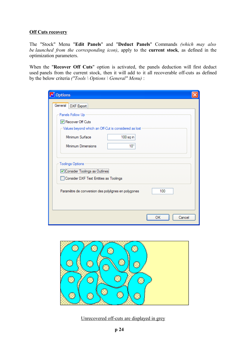#### **Off Cuts recovery**

The "Stock" Menu "**Edit Panels**" and "**Deduct Panels**" Commands *(which may also be launched from the corresponding icon)*, apply to the **current stock**, as defined in the optimization parameters.

When the "**Recover Off Cuts**" option is activated, the panels deduction will first deduct used panels from the current stock, then it will add to it all recoverable off-cuts as defined by the below criteria *("Tools \ Options \ General" Menu)* :

| N Options                                                                                          |  |  |  |  |  |  |  |
|----------------------------------------------------------------------------------------------------|--|--|--|--|--|--|--|
| General<br>DXF Export                                                                              |  |  |  |  |  |  |  |
| Panels Follow Up                                                                                   |  |  |  |  |  |  |  |
| Recover Off Cuts                                                                                   |  |  |  |  |  |  |  |
| Values beyond which an Off-Cut is considered as lost                                               |  |  |  |  |  |  |  |
| Minimum Surface<br>100 sq in                                                                       |  |  |  |  |  |  |  |
| 10"<br>Minimum Dimensions                                                                          |  |  |  |  |  |  |  |
| <b>Toolings Options</b><br>Consider Toolings as Outlines<br>Consider DXF Text Entities as Toolings |  |  |  |  |  |  |  |
| 100<br>Paramètre de conversion des polylignes en polygones                                         |  |  |  |  |  |  |  |
| ок<br>Cancel                                                                                       |  |  |  |  |  |  |  |



Unrecovered off-cuts are displayed in grey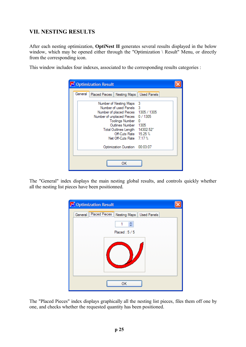# <span id="page-24-0"></span>**VII. NESTING RESULTS**

After each nesting optimization, **OptiNest II** generates several results displayed in the below window, which may be opened either through the "Optimization \ Result" Menu, or directly from the corresponding icon.

This window includes four indexes, associated to the corresponding results categories :

|         | <b>Optimization Result</b>                                                                                                                                                                                                                                        |           |
|---------|-------------------------------------------------------------------------------------------------------------------------------------------------------------------------------------------------------------------------------------------------------------------|-----------|
| General | Placed Pieces    Nesting Maps    Used Panels                                                                                                                                                                                                                      |           |
|         | Number of Nesting Maps<br>Number of used Panels 3<br>Number of placed Pieces 1305 / 1305<br>Number of unplaced Pieces 0 / 1305<br>Toolings Number<br>Outlines Number 1305<br>Total Outlines Length 14302.52"<br>Off-Cuts Rate 15.25 %<br>Net Off-Cuts Rate 7.17 % | -3<br>- 0 |
|         | Optimization Duration                                                                                                                                                                                                                                             | 00:03:07  |
|         | ОΚ                                                                                                                                                                                                                                                                |           |

The "General" index displays the main nesting global results, and controls quickly whether all the nesting list pieces have been positionned.

| Optimization Result                                |  |
|----------------------------------------------------|--|
| General Placed Pieces   Nesting Maps   Used Panels |  |
| $\hat{\mathbf{v}}$                                 |  |
| Placed: 5/5                                        |  |
|                                                    |  |
| ОК                                                 |  |

The "Placed Pieces" index displays graphically all the nesting list pieces, files them off one by one, and checks whether the requested quantity has been positioned.